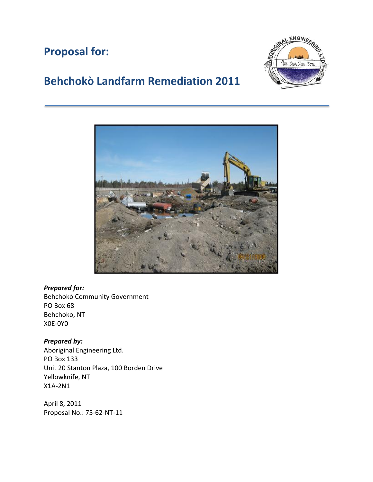## **Proposal for:**



# **Behchokò Landfarm Remediation 2011**



#### *Prepared for:*

Behchokò Community Government PO Box 68 Behchoko, NT X0E-0Y0

## *Prepared by:*

Aboriginal Engineering Ltd. PO Box 133 Unit 20 Stanton Plaza, 100 Borden Drive Yellowknife, NT X1A-2N1

April 8, 2011 Proposal No.: 75-62-NT-11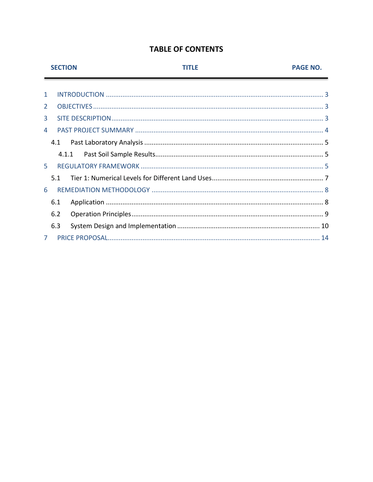## **TABLE OF CONTENTS**

|                | <b>SECTION</b> |       | TITI F | <b>PAGE NO.</b> |
|----------------|----------------|-------|--------|-----------------|
|                |                |       |        |                 |
| 1              |                |       |        |                 |
| 2              |                |       |        |                 |
| 3              |                |       |        |                 |
| 4              |                |       |        |                 |
|                | 4.1            |       |        |                 |
|                |                | 4.1.1 |        |                 |
| 5.             |                |       |        |                 |
|                | 5.1            |       |        |                 |
| 6              |                |       |        |                 |
|                | 6.1            |       |        |                 |
|                | 6.2            |       |        |                 |
|                | 6.3            |       |        |                 |
| $\overline{7}$ |                |       |        |                 |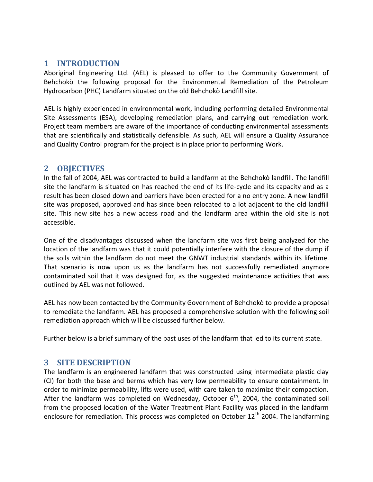## <span id="page-2-0"></span>**1 INTRODUCTION**

Aboriginal Engineering Ltd. (AEL) is pleased to offer to the Community Government of Behchokò the following proposal for the Environmental Remediation of the Petroleum Hydrocarbon (PHC) Landfarm situated on the old Behchokò Landfill site.

AEL is highly experienced in environmental work, including performing detailed Environmental Site Assessments (ESA), developing remediation plans, and carrying out remediation work. Project team members are aware of the importance of conducting environmental assessments that are scientifically and statistically defensible. As such, AEL will ensure a Quality Assurance and Quality Control program for the project is in place prior to performing Work.

## <span id="page-2-1"></span>**2 OBJECTIVES**

In the fall of 2004, AEL was contracted to build a landfarm at the Behchokò landfill. The landfill site the landfarm is situated on has reached the end of its life-cycle and its capacity and as a result has been closed down and barriers have been erected for a no entry zone. A new landfill site was proposed, approved and has since been relocated to a lot adjacent to the old landfill site. This new site has a new access road and the landfarm area within the old site is not accessible.

One of the disadvantages discussed when the landfarm site was first being analyzed for the location of the landfarm was that it could potentially interfere with the closure of the dump if the soils within the landfarm do not meet the GNWT industrial standards within its lifetime. That scenario is now upon us as the landfarm has not successfully remediated anymore contaminated soil that it was designed for, as the suggested maintenance activities that was outlined by AEL was not followed.

AEL has now been contacted by the Community Government of Behchokò to provide a proposal to remediate the landfarm. AEL has proposed a comprehensive solution with the following soil remediation approach which will be discussed further below.

<span id="page-2-2"></span>Further below is a brief summary of the past uses of the landfarm that led to its current state.

## **3 SITE DESCRIPTION**

The landfarm is an engineered landfarm that was constructed using intermediate plastic clay (CI) for both the base and berms which has very low permeability to ensure containment. In order to minimize permeability, lifts were used, with care taken to maximize their compaction. After the landfarm was completed on Wednesday, October  $6<sup>th</sup>$ , 2004, the contaminated soil from the proposed location of the Water Treatment Plant Facility was placed in the landfarm enclosure for remediation. This process was completed on October  $12<sup>th</sup>$  2004. The landfarming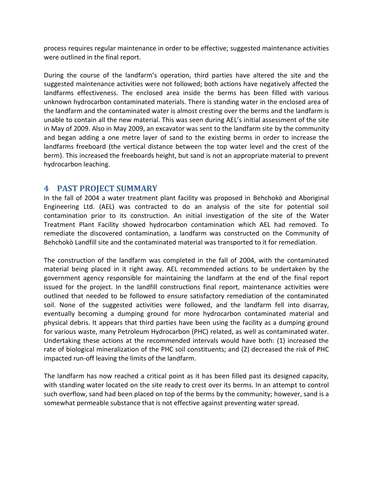process requires regular maintenance in order to be effective; suggested maintenance activities were outlined in the final report.

During the course of the landfarm's operation, third parties have altered the site and the suggested maintenance activities were not followed; both actions have negatively affected the landfarms effectiveness. The enclosed area inside the berms has been filled with various unknown hydrocarbon contaminated materials. There is standing water in the enclosed area of the landfarm and the contaminated water is almost cresting over the berms and the landfarm is unable to contain all the new material. This was seen during AEL's initial assessment of the site in May of 2009. Also in May 2009, an excavator was sent to the landfarm site by the community and began adding a one metre layer of sand to the existing berms in order to increase the landfarms freeboard (the vertical distance between the top water level and the crest of the berm). This increased the freeboards height, but sand is not an appropriate material to prevent hydrocarbon leaching.

## <span id="page-3-0"></span>**4 PAST PROJECT SUMMARY**

In the fall of 2004 a water treatment plant facility was proposed in Behchokò and Aboriginal Engineering Ltd. (AEL) was contracted to do an analysis of the site for potential soil contamination prior to its construction. An initial investigation of the site of the Water Treatment Plant Facility showed hydrocarbon contamination which AEL had removed. To remediate the discovered contamination, a landfarm was constructed on the Community of Behchokò Landfill site and the contaminated material was transported to it for remediation.

The construction of the landfarm was completed in the fall of 2004, with the contaminated material being placed in it right away. AEL recommended actions to be undertaken by the government agency responsible for maintaining the landfarm at the end of the final report issued for the project. In the landfill constructions final report, maintenance activities were outlined that needed to be followed to ensure satisfactory remediation of the contaminated soil. None of the suggested activities were followed, and the landfarm fell into disarray, eventually becoming a dumping ground for more hydrocarbon contaminated material and physical debris. It appears that third parties have been using the facility as a dumping ground for various waste, many Petroleum Hydrocarbon (PHC) related, as well as contaminated water. Undertaking these actions at the recommended intervals would have both: (1) increased the rate of biological mineralization of the PHC soil constituents; and (2) decreased the risk of PHC impacted run-off leaving the limits of the landfarm.

The landfarm has now reached a critical point as it has been filled past its designed capacity, with standing water located on the site ready to crest over its berms. In an attempt to control such overflow, sand had been placed on top of the berms by the community; however, sand is a somewhat permeable substance that is not effective against preventing water spread.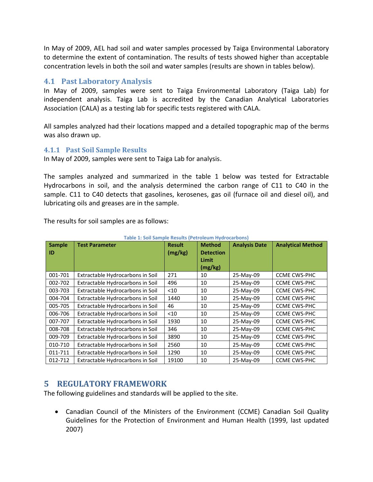In May of 2009, AEL had soil and water samples processed by Taiga Environmental Laboratory to determine the extent of contamination. The results of tests showed higher than acceptable concentration levels in both the soil and water samples (results are shown in tables below).

### <span id="page-4-0"></span>**4.1 Past Laboratory Analysis**

In May of 2009, samples were sent to Taiga Environmental Laboratory (Taiga Lab) for independent analysis. Taiga Lab is accredited by the Canadian Analytical Laboratories Association (CALA) as a testing lab for specific tests registered with CALA.

All samples analyzed had their locations mapped and a detailed topographic map of the berms was also drawn up.

#### <span id="page-4-1"></span>**4.1.1 Past Soil Sample Results**

In May of 2009, samples were sent to Taiga Lab for analysis.

The samples analyzed and summarized in the table 1 below was tested for Extractable Hydrocarbons in soil, and the analysis determined the carbon range of C11 to C40 in the sample. C11 to C40 detects that gasolines, kerosenes, gas oil (furnace oil and diesel oil), and lubricating oils and greases are in the sample.

The results for soil samples are as follows:

| <b>Sample</b><br>ID | <b>Test Parameter</b>            | <b>Result</b><br>(mg/kg) | <b>Method</b><br><b>Detection</b><br>Limit<br>(mg/kg) | <b>Analysis Date</b> | <b>Analytical Method</b> |
|---------------------|----------------------------------|--------------------------|-------------------------------------------------------|----------------------|--------------------------|
| 001-701             | Extractable Hydrocarbons in Soil | 271                      | 10                                                    | 25-May-09            | <b>CCME CWS-PHC</b>      |
| 002-702             | Extractable Hydrocarbons in Soil | 496                      | 10                                                    | 25-May-09            | <b>CCME CWS-PHC</b>      |
| 003-703             | Extractable Hydrocarbons in Soil | $<$ 10                   | 10                                                    | 25-May-09            | <b>CCME CWS-PHC</b>      |
| 004-704             | Extractable Hydrocarbons in Soil | 1440                     | 10                                                    | 25-May-09            | <b>CCME CWS-PHC</b>      |
| 005-705             | Extractable Hydrocarbons in Soil | 46                       | 10                                                    | 25-May-09            | <b>CCME CWS-PHC</b>      |
| 006-706             | Extractable Hydrocarbons in Soil | $<$ 10                   | 10                                                    | 25-May-09            | <b>CCME CWS-PHC</b>      |
| 007-707             | Extractable Hydrocarbons in Soil | 1930                     | 10                                                    | 25-May-09            | <b>CCME CWS-PHC</b>      |
| 008-708             | Extractable Hydrocarbons in Soil | 346                      | 10                                                    | 25-May-09            | <b>CCME CWS-PHC</b>      |
| 009-709             | Extractable Hydrocarbons in Soil | 3890                     | 10                                                    | 25-May-09            | <b>CCME CWS-PHC</b>      |
| 010-710             | Extractable Hydrocarbons in Soil | 2560                     | 10                                                    | 25-May-09            | <b>CCME CWS-PHC</b>      |
| 011-711             | Extractable Hydrocarbons in Soil | 1290                     | 10                                                    | 25-May-09            | <b>CCME CWS-PHC</b>      |
| 012-712             | Extractable Hydrocarbons in Soil | 19100                    | 10                                                    | 25-May-09            | <b>CCME CWS-PHC</b>      |

**Table 1: Soil Sample Results (Petroleum Hydrocarbons)**

## <span id="page-4-2"></span>**5 REGULATORY FRAMEWORK**

The following guidelines and standards will be applied to the site.

 Canadian Council of the Ministers of the Environment (CCME) Canadian Soil Quality Guidelines for the Protection of Environment and Human Health (1999, last updated 2007)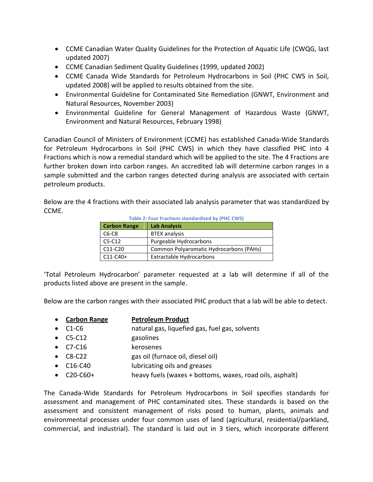- CCME Canadian Water Quality Guidelines for the Protection of Aquatic Life (CWQG, last updated 2007)
- CCME Canadian Sediment Quality Guidelines (1999, updated 2002)
- CCME Canada Wide Standards for Petroleum Hydrocarbons in Soil (PHC CWS in Soil, updated 2008) will be applied to results obtained from the site.
- Environmental Guideline for Contaminated Site Remediation (GNWT, Environment and Natural Resources, November 2003)
- Environmental Guideline for General Management of Hazardous Waste (GNWT, Environment and Natural Resources, February 1998)

Canadian Council of Ministers of Environment (CCME) has established Canada-Wide Standards for Petroleum Hydrocarbons in Soil (PHC CWS) in which they have classified PHC into 4 Fractions which is now a remedial standard which will be applied to the site. The 4 Fractions are further broken down into carbon ranges. An accredited lab will determine carbon ranges in a sample submitted and the carbon ranges detected during analysis are associated with certain petroleum products.

Below are the 4 fractions with their associated lab analysis parameter that was standardized by CCME.

| <b>Table 2: Four Fractions standardized by (PHC CWS)</b> |                                         |  |  |  |  |
|----------------------------------------------------------|-----------------------------------------|--|--|--|--|
| <b>Carbon Range</b>                                      | <b>Lab Analysis</b>                     |  |  |  |  |
| $C6-C8$                                                  | <b>BTEX analysis</b>                    |  |  |  |  |
| $C5-C12$                                                 | Purgeable Hydrocarbons                  |  |  |  |  |
| C11-C20                                                  | Common Polyaromatic Hydrocarbons (PAHs) |  |  |  |  |
| $C11-C40+$                                               | <b>Extractable Hydrocarbons</b>         |  |  |  |  |

'Total Petroleum Hydrocarbon' parameter requested at a lab will determine if all of the products listed above are present in the sample.

Below are the carbon ranges with their associated PHC product that a lab will be able to detect.

- **Carbon Range Petroleum Product**
- C1-C6 natural gas, liquefied gas, fuel gas, solvents
- C5-C12 gasolines
- C7-C16 kerosenes
- C8-C22 gas oil (furnace oil, diesel oil)
- C16-C40 lubricating oils and greases
- C20-C60+ heavy fuels (waxes + bottoms, waxes, road oils, asphalt)

The Canada-Wide Standards for Petroleum Hydrocarbons in Soil specifies standards for assessment and management of PHC contaminated sites. These standards is based on the assessment and consistent management of risks posed to human, plants, animals and environmental processes under four common uses of land (agricultural, residential/parkland, commercial, and industrial). The standard is laid out in 3 tiers, which incorporate different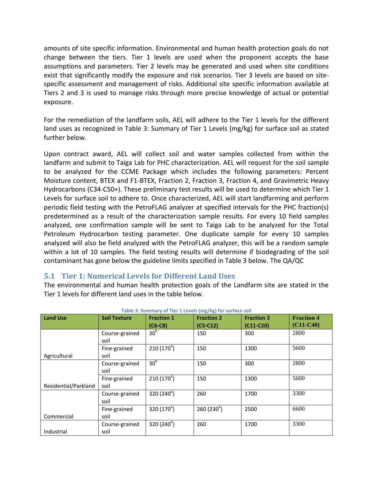amounts of site specific information. Environmental and human health protection goals do not change between the tiers. Tier 1 levels are used when the proponent accepts the base assumptions and parameters. Tier 2 levels may be generated and used when site conditions exist that significantly modify the exposure and risk scenarios. Tier 3 levels are based on sitespecific assessment and management of risks. Additional site specific information available at Tiers 2 and 3 is used to manage risks through more precise knowledge of actual or potential exposure.

For the remediation of the landfarm soils, AEL will adhere to the Tier 1 levels for the different land uses as recognized in [Table 3: Summary of Tier 1 Levels \(mg/kg\) for surface soil](#page-6-1) as stated further below.

Upon contract award, AEL will collect soil and water samples collected from within the landfarm and submit to Taiga Lab for PHC characterization. AEL will request for the soil sample to be analyzed for the CCME Package which includes the following parameters: Percent Moisture content, BTEX and F1-BTEX, Fraction 2, Fraction 3, Fraction 4, and Gravimetric Heavy Hydrocarbons (C34-C50+). These preliminary test results will be used to determine which Tier 1 Levels for surface soil to adhere to. Once characterized, AEL will start landfarming and perform periodic field testing with the PetroFLAG analyzer at specified intervals for the PHC fraction(s) predetermined as a result of the characterization sample results. For every 10 field samples analyzed, one confirmation sample will be sent to Taiga Lab to be analyzed for the Total Petroleum Hydrocarbon testing parameter. One duplicate sample for every 10 samples analyzed will also be field analyzed with the PetroFLAG analyzer, this will be a random sample within a lot of 10 samples. The field testing results will determine if biodegrading of the soil contaminant has gone below the guideline limits specified in Table 3 below. The QA/QC

## <span id="page-6-0"></span>**5.1 Tier 1: Numerical Levels for Different Land Uses**

The environmental and human health protection goals of the Landfarm site are stated in the Tier 1 levels for different land uses in the table below.

<span id="page-6-1"></span>

| <b>Land Use</b>      | <b>Soil Texture</b> | <b>Fraction 1</b>   | <b>Fraction 2</b>      | <b>Fraction 3</b> | <b>Fraction 4</b> |
|----------------------|---------------------|---------------------|------------------------|-------------------|-------------------|
|                      |                     | $(C6-C8)$           | $(C5-C12)$             | $(C11-C20)$       | $(C11-C40)$       |
|                      | Course-grained      | 30 <sup>b</sup>     | 150                    | 300               | 2800              |
|                      | soil                |                     |                        |                   |                   |
|                      | Fine-grained        | $210(170^a)$        | 150                    | 1300              | 5600              |
| Agricultural         | soil                |                     |                        |                   |                   |
|                      | Course-grained      | 30 <sup>b</sup>     | 150                    | 300               | 2800              |
|                      | soil                |                     |                        |                   |                   |
|                      | Fine-grained        | $210(170^{a})$      | 150                    | 1300              | 5600              |
| Residential/Parkland | soil                |                     |                        |                   |                   |
|                      | Course-grained      | 320 $(240^{\circ})$ | 260                    | 1700              | 3300              |
|                      | soil                |                     |                        |                   |                   |
|                      | Fine-grained        | 320 $(170^{\circ})$ | 260(230 <sup>a</sup> ) | 2500              | 6600              |
| Commercial           | soil                |                     |                        |                   |                   |
|                      | Course-grained      | 320 $(240^{\circ})$ | 260                    | 1700              | 3300              |
| Industrial           | soil                |                     |                        |                   |                   |

#### **Table 3: Summary of Tier 1 Levels (mg/kg) for surface soil**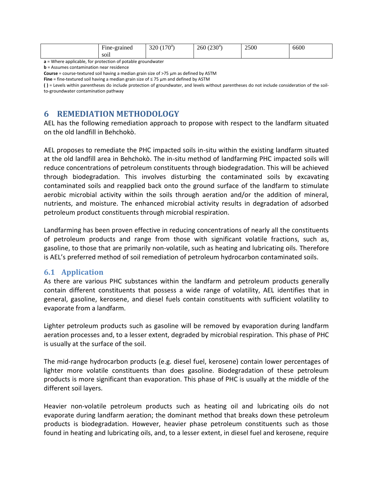| $\overline{\phantom{a}}$<br>Fine-grained | $(170^a)$<br>320 <sub>1</sub> | 260(230 <sup>a</sup> ) | 2500 | 6600 |
|------------------------------------------|-------------------------------|------------------------|------|------|
| SO1l                                     |                               |                        |      |      |

**a** = Where applicable, for protection of potable groundwater

**b** = Assumes contamination near residence

**Course** = course-textured soil having a median grain size of >75 µm as defined by ASTM

**Fine** = fine-textured soil having a median grain size of ≤ 75 µm and defined by ASTM

<span id="page-7-0"></span>**( )** = Levels within parentheses do include protection of groundwater, and levels without parentheses do not include consideration of the soilto-groundwater contamination pathway

## **6 REMEDIATION METHODOLOGY**

AEL has the following remediation approach to propose with respect to the landfarm situated on the old landfill in Behchokò.

AEL proposes to remediate the PHC impacted soils in-situ within the existing landfarm situated at the old landfill area in Behchokò. The in-situ method of landfarming PHC impacted soils will reduce concentrations of petroleum constituents through biodegradation. This will be achieved through biodegradation. This involves disturbing the contaminated soils by excavating contaminated soils and reapplied back onto the ground surface of the landfarm to stimulate aerobic microbial activity within the soils through aeration and/or the addition of mineral, nutrients, and moisture. The enhanced microbial activity results in degradation of adsorbed petroleum product constituents through microbial respiration.

Landfarming has been proven effective in reducing concentrations of nearly all the constituents of petroleum products and range from those with significant volatile fractions, such as, gasoline, to those that are primarily non-volatile, such as heating and lubricating oils. Therefore is AEL's preferred method of soil remediation of petroleum hydrocarbon contaminated soils.

#### <span id="page-7-1"></span>**6.1 Application**

As there are various PHC substances within the landfarm and petroleum products generally contain different constituents that possess a wide range of volatility, AEL identifies that in general, gasoline, kerosene, and diesel fuels contain constituents with sufficient volatility to evaporate from a landfarm.

Lighter petroleum products such as gasoline will be removed by evaporation during landfarm aeration processes and, to a lesser extent, degraded by microbial respiration. This phase of PHC is usually at the surface of the soil.

The mid-range hydrocarbon products (e.g. diesel fuel, kerosene) contain lower percentages of lighter more volatile constituents than does gasoline. Biodegradation of these petroleum products is more significant than evaporation. This phase of PHC is usually at the middle of the different soil layers.

Heavier non-volatile petroleum products such as heating oil and lubricating oils do not evaporate during landfarm aeration; the dominant method that breaks down these petroleum products is biodegradation. However, heavier phase petroleum constituents such as those found in heating and lubricating oils, and, to a lesser extent, in diesel fuel and kerosene, require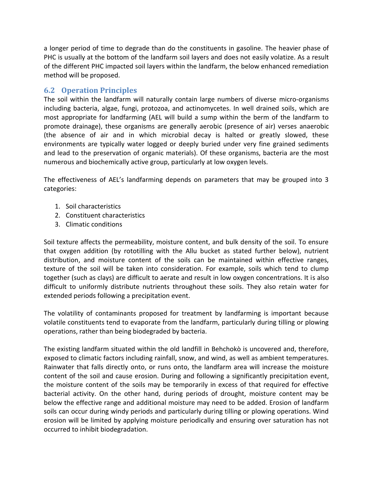a longer period of time to degrade than do the constituents in gasoline. The heavier phase of PHC is usually at the bottom of the landfarm soil layers and does not easily volatize. As a result of the different PHC impacted soil layers within the landfarm, the below enhanced remediation method will be proposed.

## <span id="page-8-0"></span>**6.2 Operation Principles**

The soil within the landfarm will naturally contain large numbers of diverse micro-organisms including bacteria, algae, fungi, protozoa, and actinomycetes. In well drained soils, which are most appropriate for landfarming (AEL will build a sump within the berm of the landfarm to promote drainage), these organisms are generally aerobic (presence of air) verses anaerobic (the absence of air and in which microbial decay is halted or greatly slowed, these environments are typically water logged or deeply buried under very fine grained sediments and lead to the preservation of organic materials). Of these organisms, bacteria are the most numerous and biochemically active group, particularly at low oxygen levels.

The effectiveness of AEL's landfarming depends on parameters that may be grouped into 3 categories:

- 1. Soil characteristics
- 2. Constituent characteristics
- 3. Climatic conditions

Soil texture affects the permeability, moisture content, and bulk density of the soil. To ensure that oxygen addition (by rototilling with the Allu bucket as stated further below), nutrient distribution, and moisture content of the soils can be maintained within effective ranges, texture of the soil will be taken into consideration. For example, soils which tend to clump together (such as clays) are difficult to aerate and result in low oxygen concentrations. It is also difficult to uniformly distribute nutrients throughout these soils. They also retain water for extended periods following a precipitation event.

The volatility of contaminants proposed for treatment by landfarming is important because volatile constituents tend to evaporate from the landfarm, particularly during tilling or plowing operations, rather than being biodegraded by bacteria.

The existing landfarm situated within the old landfill in Behchokò is uncovered and, therefore, exposed to climatic factors including rainfall, snow, and wind, as well as ambient temperatures. Rainwater that falls directly onto, or runs onto, the landfarm area will increase the moisture content of the soil and cause erosion. During and following a significantly precipitation event, the moisture content of the soils may be temporarily in excess of that required for effective bacterial activity. On the other hand, during periods of drought, moisture content may be below the effective range and additional moisture may need to be added. Erosion of landfarm soils can occur during windy periods and particularly during tilling or plowing operations. Wind erosion will be limited by applying moisture periodically and ensuring over saturation has not occurred to inhibit biodegradation.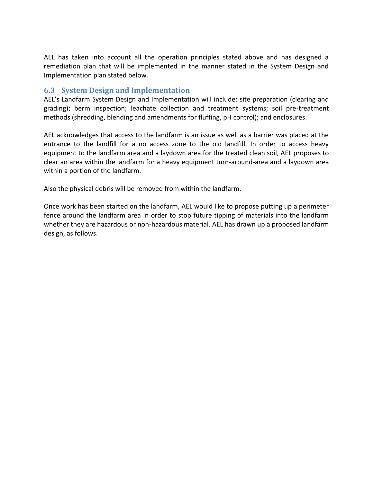AEL has taken into account all the operation principles stated above and has designed a remediation plan that will be implemented in the manner stated in the System Design and Implementation plan stated below.

#### <span id="page-9-0"></span>**6.3 System Design and Implementation**

AEL's Landfarm System Design and Implementation will include: site preparation (clearing and grading); berm inspection; leachate collection and treatment systems; soil pre-treatment methods (shredding, blending and amendments for fluffing, pH control); and enclosures.

AEL acknowledges that access to the landfarm is an issue as well as a barrier was placed at the entrance to the landfill for a no access zone to the old landfill. In order to access heavy equipment to the landfarm area and a laydown area for the treated clean soil, AEL proposes to clear an area within the landfarm for a heavy equipment turn-around-area and a laydown area within a portion of the landfarm.

Also the physical debris will be removed from within the landfarm.

Once work has been started on the landfarm, AEL would like to propose putting up a perimeter fence around the landfarm area in order to stop future tipping of materials into the landfarm whether they are hazardous or non-hazardous material. AEL has drawn up a proposed landfarm design, as follows.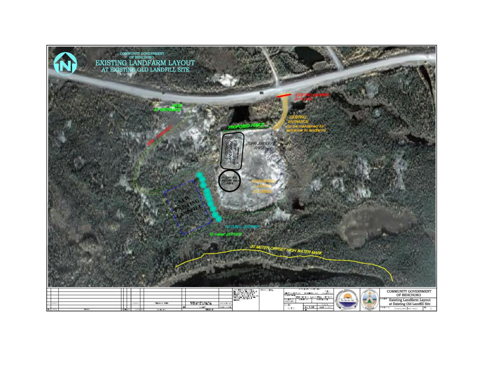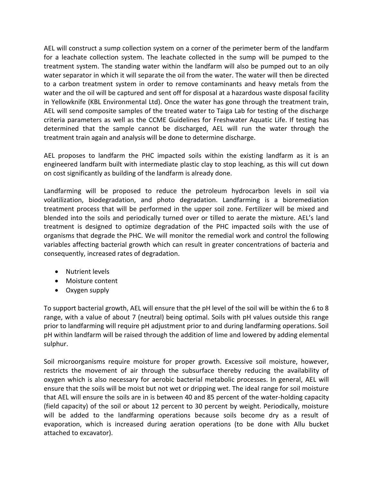AEL will construct a sump collection system on a corner of the perimeter berm of the landfarm for a leachate collection system. The leachate collected in the sump will be pumped to the treatment system. The standing water within the landfarm will also be pumped out to an oily water separator in which it will separate the oil from the water. The water will then be directed to a carbon treatment system in order to remove contaminants and heavy metals from the water and the oil will be captured and sent off for disposal at a hazardous waste disposal facility in Yellowknife (KBL Environmental Ltd). Once the water has gone through the treatment train, AEL will send composite samples of the treated water to Taiga Lab for testing of the discharge criteria parameters as well as the CCME Guidelines for Freshwater Aquatic Life. If testing has determined that the sample cannot be discharged, AEL will run the water through the treatment train again and analysis will be done to determine discharge.

AEL proposes to landfarm the PHC impacted soils within the existing landfarm as it is an engineered landfarm built with intermediate plastic clay to stop leaching, as this will cut down on cost significantly as building of the landfarm is already done.

Landfarming will be proposed to reduce the petroleum hydrocarbon levels in soil via volatilization, biodegradation, and photo degradation. Landfarming is a bioremediation treatment process that will be performed in the upper soil zone. Fertilizer will be mixed and blended into the soils and periodically turned over or tilled to aerate the mixture. AEL's land treatment is designed to optimize degradation of the PHC impacted soils with the use of organisms that degrade the PHC. We will monitor the remedial work and control the following variables affecting bacterial growth which can result in greater concentrations of bacteria and consequently, increased rates of degradation.

- Nutrient levels
- Moisture content
- Oxygen supply

To support bacterial growth, AEL will ensure that the pH level of the soil will be within the 6 to 8 range, with a value of about 7 (neutral) being optimal. Soils with pH values outside this range prior to landfarming will require pH adjustment prior to and during landfarming operations. Soil pH within landfarm will be raised through the addition of lime and lowered by adding elemental sulphur.

Soil microorganisms require moisture for proper growth. Excessive soil moisture, however, restricts the movement of air through the subsurface thereby reducing the availability of oxygen which is also necessary for aerobic bacterial metabolic processes. In general, AEL will ensure that the soils will be moist but not wet or dripping wet. The ideal range for soil moisture that AEL will ensure the soils are in is between 40 and 85 percent of the water-holding capacity (field capacity) of the soil or about 12 percent to 30 percent by weight. Periodically, moisture will be added to the landfarming operations because soils become dry as a result of evaporation, which is increased during aeration operations (to be done with Allu bucket attached to excavator).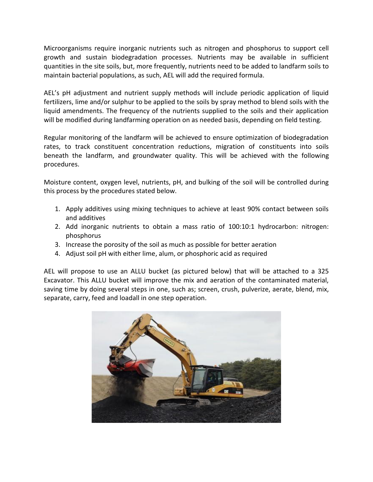Microorganisms require inorganic nutrients such as nitrogen and phosphorus to support cell growth and sustain biodegradation processes. Nutrients may be available in sufficient quantities in the site soils, but, more frequently, nutrients need to be added to landfarm soils to maintain bacterial populations, as such, AEL will add the required formula.

AEL's pH adjustment and nutrient supply methods will include periodic application of liquid fertilizers, lime and/or sulphur to be applied to the soils by spray method to blend soils with the liquid amendments. The frequency of the nutrients supplied to the soils and their application will be modified during landfarming operation on as needed basis, depending on field testing.

Regular monitoring of the landfarm will be achieved to ensure optimization of biodegradation rates, to track constituent concentration reductions, migration of constituents into soils beneath the landfarm, and groundwater quality. This will be achieved with the following procedures.

Moisture content, oxygen level, nutrients, pH, and bulking of the soil will be controlled during this process by the procedures stated below.

- 1. Apply additives using mixing techniques to achieve at least 90% contact between soils and additives
- 2. Add inorganic nutrients to obtain a mass ratio of 100:10:1 hydrocarbon: nitrogen: phosphorus
- 3. Increase the porosity of the soil as much as possible for better aeration
- 4. Adjust soil pH with either lime, alum, or phosphoric acid as required

AEL will propose to use an ALLU bucket (as pictured below) that will be attached to a 325 Excavator. This ALLU bucket will improve the mix and aeration of the contaminated material, saving time by doing several steps in one, such as; screen, crush, pulverize, aerate, blend, mix, separate, carry, feed and loadall in one step operation.